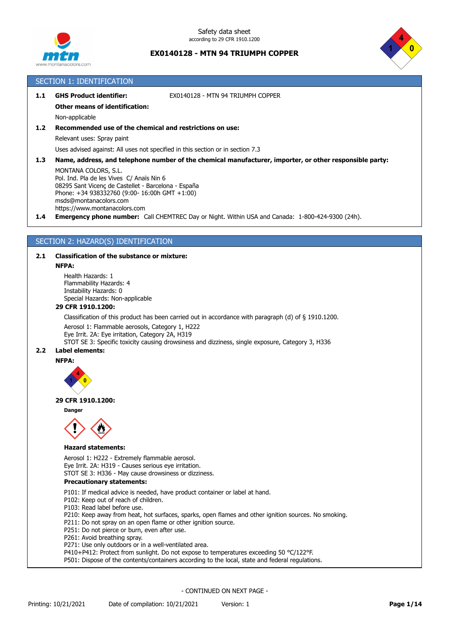



# SECTION 1: IDENTIFICATION

| GHS Product identifier: | EX0140128 - MTN 94 TRIUMPH COPPER |
|-------------------------|-----------------------------------|
|                         |                                   |

### **Other means of identification:**

Non-applicable

**1.2 Recommended use of the chemical and restrictions on use:**

Relevant uses: Spray paint

Uses advised against: All uses not specified in this section or in section 7.3

**1.3 Name, address, and telephone number of the chemical manufacturer, importer, or other responsible party:**

MONTANA COLORS, S.L. Pol. Ind. Pla de les Vives C/ Anaïs Nin 6 08295 Sant Vicenç de Castellet - Barcelona - España Phone: +34 938332760 (9:00- 16:00h GMT +1:00) msds@montanacolors.com https://www.montanacolors.com

**1.4 Emergency phone number:** Call CHEMTREC Day or Night. Within USA and Canada: 1-800-424-9300 (24h).

# SECTION 2: HAZARD(S) IDENTIFICATION

## **2.1 Classification of the substance or mixture:**

#### **NFPA:**

Health Hazards: 1 Flammability Hazards: 4 Instability Hazards: 0 Special Hazards: Non-applicable

## **29 CFR 1910.1200:**

Classification of this product has been carried out in accordance with paragraph (d) of § 1910.1200.

Aerosol 1: Flammable aerosols, Category 1, H222

Eye Irrit. 2A: Eye irritation, Category 2A, H319

STOT SE 3: Specific toxicity causing drowsiness and dizziness, single exposure, Category 3, H336

# **2.2 Label elements:**

**NFPA:**



## **29 CFR 1910.1200:**

**Danger**



## **Hazard statements:**

Aerosol 1: H222 - Extremely flammable aerosol. Eye Irrit. 2A: H319 - Causes serious eye irritation. STOT SE 3: H336 - May cause drowsiness or dizziness.

**Precautionary statements:**

P101: If medical advice is needed, have product container or label at hand.

P102: Keep out of reach of children.

- P103: Read label before use.
- P210: Keep away from heat, hot surfaces, sparks, open flames and other ignition sources. No smoking.
- P211: Do not spray on an open flame or other ignition source.
- P251: Do not pierce or burn, even after use.
- P261: Avoid breathing spray.

P271: Use only outdoors or in a well-ventilated area.

P410+P412: Protect from sunlight. Do not expose to temperatures exceeding 50 °C/122°F.

P501: Dispose of the contents/containers according to the local, state and federal regulations.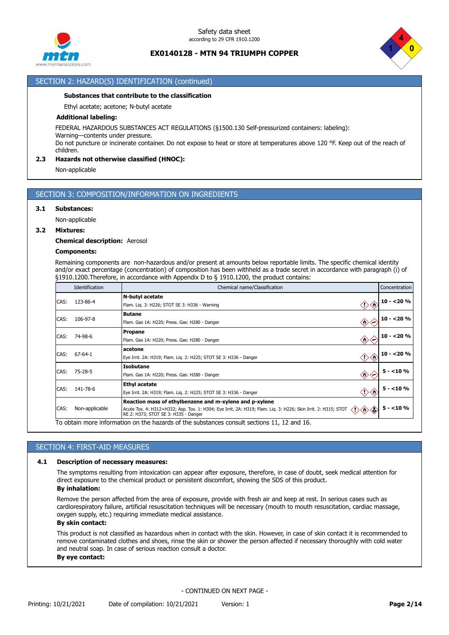



## SECTION 2: HAZARD(S) IDENTIFICATION (continued)

#### **Substances that contribute to the classification**

Ethyl acetate; acetone; N-butyl acetate

## **Additional labeling:**

FEDERAL HAZARDOUS SUBSTANCES ACT REGULATIONS (§1500.130 Self-pressurized containers: labeling):

Warning—contents under pressure.

Do not puncture or incinerate container. Do not expose to heat or store at temperatures above 120 °F. Keep out of the reach of children.

# **2.3 Hazards not otherwise classified (HNOC):**

Non-applicable

# SECTION 3: COMPOSITION/INFORMATION ON INGREDIENTS

#### **3.1 Substances:**

Non-applicable

#### **3.2 Mixtures:**

#### **Chemical description:** Aerosol

### **Components:**

Remaining components are non-hazardous and/or present at amounts below reportable limits. The specific chemical identity and/or exact percentage (concentration) of composition has been withheld as a trade secret in accordance with paragraph (i) of §1910.1200.Therefore, in accordance with Appendix D to § 1910.1200, the product contains:

|      | Identification                                                                  | Chemical name/Classification                                                                                                                                                                                                                 | Concentration |
|------|---------------------------------------------------------------------------------|----------------------------------------------------------------------------------------------------------------------------------------------------------------------------------------------------------------------------------------------|---------------|
| CAS: | 123-86-4                                                                        | N-butyl acetate<br>◇◇<br>Flam. Lig. 3: H226; STOT SE 3: H336 - Warning                                                                                                                                                                       | $10 - 20%$    |
| CAS: | <b>Butane</b><br>106-97-8<br>◈<br>Flam. Gas 1A: H220; Press. Gas: H280 - Danger |                                                                                                                                                                                                                                              | $10 - 20%$    |
| CAS: | 74-98-6                                                                         | <b>Propane</b><br>◈<br>Flam. Gas 1A: H220; Press. Gas: H280 - Danger                                                                                                                                                                         | $10 - 20%$    |
| CAS: | 67-64-1                                                                         | acetone<br>◇◇<br>Eye Irrit. 2A: H319; Flam. Lig. 2: H225; STOT SE 3: H336 - Danger                                                                                                                                                           | $10 - 20%$    |
| CAS: | 75-28-5                                                                         | <b>Isobutane</b><br>$\diamondsuit$<br>Flam. Gas 1A: H220; Press. Gas: H280 - Danger                                                                                                                                                          | $5 - 10%$     |
| CAS: | 141-78-6                                                                        | <b>Ethyl acetate</b><br>Eye Irrit. 2A: H319; Flam. Lig. 2: H225; STOT SE 3: H336 - Danger                                                                                                                                                    | $5 - 10%$     |
| CAS: | Non-applicable                                                                  | Reaction mass of ethylbenzene and m-xylene and p-xylene<br>Ô,<br>Acute Tox. 4: H312+H332; Asp. Tox. 1: H304; Eye Irrit. 2A: H319; Flam. Liq. 3: H226; Skin Irrit. 2: H315; STOT<br>$\Leftrightarrow$<br>RE 2: H373; STOT SE 3: H335 - Danger | $5 - 10%$     |
|      |                                                                                 | To obtain more information on the hazards of the substances consult sections 11, 12 and 16.                                                                                                                                                  |               |

## SECTION 4: FIRST-AID MEASURES

#### **4.1 Description of necessary measures:**

The symptoms resulting from intoxication can appear after exposure, therefore, in case of doubt, seek medical attention for direct exposure to the chemical product or persistent discomfort, showing the SDS of this product. **By inhalation:**

Remove the person affected from the area of exposure, provide with fresh air and keep at rest. In serious cases such as cardiorespiratory failure, artificial resuscitation techniques will be necessary (mouth to mouth resuscitation, cardiac massage, oxygen supply, etc.) requiring immediate medical assistance.

## **By skin contact:**

This product is not classified as hazardous when in contact with the skin. However, in case of skin contact it is recommended to remove contaminated clothes and shoes, rinse the skin or shower the person affected if necessary thoroughly with cold water and neutral soap. In case of serious reaction consult a doctor.

#### **By eye contact:**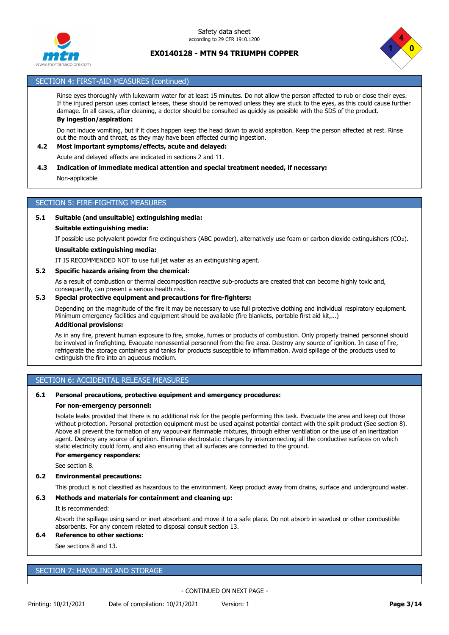



# SECTION 4: FIRST-AID MEASURES (continued)

Rinse eyes thoroughly with lukewarm water for at least 15 minutes. Do not allow the person affected to rub or close their eyes. If the injured person uses contact lenses, these should be removed unless they are stuck to the eyes, as this could cause further damage. In all cases, after cleaning, a doctor should be consulted as quickly as possible with the SDS of the product. **By ingestion/aspiration:**

Do not induce vomiting, but if it does happen keep the head down to avoid aspiration. Keep the person affected at rest. Rinse out the mouth and throat, as they may have been affected during ingestion.

# **4.2 Most important symptoms/effects, acute and delayed:**

Acute and delayed effects are indicated in sections 2 and 11.

## **4.3 Indication of immediate medical attention and special treatment needed, if necessary:**

Non-applicable

# SECTION 5: FIRE-FIGHTING MEASURES

#### **5.1 Suitable (and unsuitable) extinguishing media:**

#### **Suitable extinguishing media:**

If possible use polyvalent powder fire extinguishers (ABC powder), alternatively use foam or carbon dioxide extinguishers (CO₂).

#### **Unsuitable extinguishing media:**

IT IS RECOMMENDED NOT to use full jet water as an extinguishing agent.

### **5.2 Specific hazards arising from the chemical:**

As a result of combustion or thermal decomposition reactive sub-products are created that can become highly toxic and, consequently, can present a serious health risk.

#### **5.3 Special protective equipment and precautions for fire-fighters:**

Depending on the magnitude of the fire it may be necessary to use full protective clothing and individual respiratory equipment. Minimum emergency facilities and equipment should be available (fire blankets, portable first aid kit,...) **Additional provisions:**

As in any fire, prevent human exposure to fire, smoke, fumes or products of combustion. Only properly trained personnel should be involved in firefighting. Evacuate nonessential personnel from the fire area. Destroy any source of ignition. In case of fire, refrigerate the storage containers and tanks for products susceptible to inflammation. Avoid spillage of the products used to extinguish the fire into an aqueous medium.

## SECTION 6: ACCIDENTAL RELEASE MEASURES

#### **6.1 Personal precautions, protective equipment and emergency procedures:**

#### **For non-emergency personnel:**

Isolate leaks provided that there is no additional risk for the people performing this task. Evacuate the area and keep out those without protection. Personal protection equipment must be used against potential contact with the spilt product (See section 8). Above all prevent the formation of any vapour-air flammable mixtures, through either ventilation or the use of an inertization agent. Destroy any source of ignition. Eliminate electrostatic charges by interconnecting all the conductive surfaces on which static electricity could form, and also ensuring that all surfaces are connected to the ground.

#### **For emergency responders:**

See section 8.

### **6.2 Environmental precautions:**

This product is not classified as hazardous to the environment. Keep product away from drains, surface and underground water.

#### **6.3 Methods and materials for containment and cleaning up:**

It is recommended:

Absorb the spillage using sand or inert absorbent and move it to a safe place. Do not absorb in sawdust or other combustible absorbents. For any concern related to disposal consult section 13.

## **6.4 Reference to other sections:**

See sections 8 and 13.

# SECTION 7: HANDLING AND STORAGE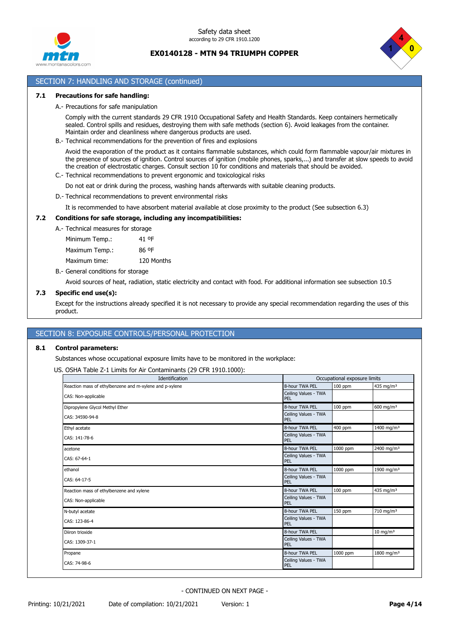



# SECTION 7: HANDLING AND STORAGE (continued)

#### **7.1 Precautions for safe handling:**

A.- Precautions for safe manipulation

Comply with the current standards 29 CFR 1910 Occupational Safety and Health Standards. Keep containers hermetically sealed. Control spills and residues, destroying them with safe methods (section 6). Avoid leakages from the container. Maintain order and cleanliness where dangerous products are used.

B.- Technical recommendations for the prevention of fires and explosions

Avoid the evaporation of the product as it contains flammable substances, which could form flammable vapour/air mixtures in the presence of sources of ignition. Control sources of ignition (mobile phones, sparks,...) and transfer at slow speeds to avoid the creation of electrostatic charges. Consult section 10 for conditions and materials that should be avoided.

C.- Technical recommendations to prevent ergonomic and toxicological risks

Do not eat or drink during the process, washing hands afterwards with suitable cleaning products.

D.- Technical recommendations to prevent environmental risks

It is recommended to have absorbent material available at close proximity to the product (See subsection 6.3)

## **7.2 Conditions for safe storage, including any incompatibilities:**

A.- Technical measures for storage

Minimum Temp.: 41 ºF Maximum Temp.: 86 ºF Maximum time: 120 Months

B.- General conditions for storage

Avoid sources of heat, radiation, static electricity and contact with food. For additional information see subsection 10.5

#### **7.3 Specific end use(s):**

Except for the instructions already specified it is not necessary to provide any special recommendation regarding the uses of this product.

## SECTION 8: EXPOSURE CONTROLS/PERSONAL PROTECTION

#### **8.1 Control parameters:**

Substances whose occupational exposure limits have to be monitored in the workplace:

US. OSHA Table Z-1 Limits for Air Contaminants (29 CFR 1910.1000):

| Identification                                          |                             | Occupational exposure limits |                        |
|---------------------------------------------------------|-----------------------------|------------------------------|------------------------|
| Reaction mass of ethylbenzene and m-xylene and p-xylene | 8-hour TWA PEL              | $100$ ppm                    | 435 mg/m <sup>3</sup>  |
| CAS: Non-applicable                                     | Ceiling Values - TWA<br>PEL |                              |                        |
| Dipropylene Glycol Methyl Ether                         | 8-hour TWA PEL              | 100 ppm                      | $600 \text{ mg/m}^3$   |
| CAS: 34590-94-8                                         | Ceiling Values - TWA<br>PEL |                              |                        |
| Ethyl acetate                                           | 8-hour TWA PEL              | 400 ppm                      | 1400 mg/m <sup>3</sup> |
| CAS: 141-78-6                                           | Ceiling Values - TWA<br>PEL |                              |                        |
| acetone                                                 | 8-hour TWA PEL              | 1000 ppm                     | 2400 mg/m <sup>3</sup> |
| CAS: 67-64-1                                            | Ceiling Values - TWA<br>PEL |                              |                        |
| ethanol                                                 | 8-hour TWA PEL              | 1000 ppm                     | 1900 mg/m <sup>3</sup> |
| CAS: 64-17-5                                            | Ceiling Values - TWA<br>PEL |                              |                        |
| Reaction mass of ethylbenzene and xylene                | 8-hour TWA PEL              | 100 ppm                      | 435 mg/m <sup>3</sup>  |
| CAS: Non-applicable                                     | Ceiling Values - TWA<br>PEL |                              |                        |
| N-butyl acetate                                         | 8-hour TWA PEL              | 150 ppm                      | 710 mg/m <sup>3</sup>  |
| CAS: 123-86-4                                           | Ceiling Values - TWA<br>PEL |                              |                        |
| Diiron trioxide                                         | 8-hour TWA PEL              |                              | $10 \text{ mg/m}^3$    |
| CAS: 1309-37-1                                          | Ceiling Values - TWA<br>PEL |                              |                        |
| Propane                                                 | 8-hour TWA PEL              | 1000 ppm                     | 1800 mg/m <sup>3</sup> |
| CAS: 74-98-6                                            | Ceiling Values - TWA<br>PEL |                              |                        |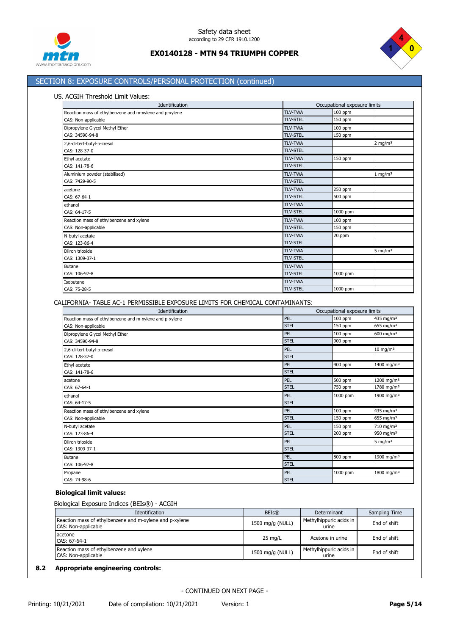



# SECTION 8: EXPOSURE CONTROLS/PERSONAL PROTECTION (continued)

## US. ACGIH Threshold Limit Values:

| Identification                                          |                 | Occupational exposure limits |                    |  |
|---------------------------------------------------------|-----------------|------------------------------|--------------------|--|
| Reaction mass of ethylbenzene and m-xylene and p-xylene | <b>TLV-TWA</b>  | 100 ppm                      |                    |  |
| CAS: Non-applicable                                     | <b>TLV-STEL</b> | 150 ppm                      |                    |  |
| Dipropylene Glycol Methyl Ether                         | <b>TLV-TWA</b>  | 100 ppm                      |                    |  |
| CAS: 34590-94-8                                         | <b>TLV-STEL</b> | 150 ppm                      |                    |  |
| 2,6-di-tert-butyl-p-cresol                              | <b>TLV-TWA</b>  |                              | 2 mg/m $3$         |  |
| CAS: 128-37-0                                           | <b>TLV-STEL</b> |                              |                    |  |
| Ethyl acetate                                           | <b>TLV-TWA</b>  | 150 ppm                      |                    |  |
| CAS: 141-78-6                                           | <b>TLV-STEL</b> |                              |                    |  |
| Aluminium powder (stabilised)                           | <b>TLV-TWA</b>  |                              | $1 \text{ mg/m}^3$ |  |
| CAS: 7429-90-5                                          | <b>TLV-STEL</b> |                              |                    |  |
| acetone                                                 | <b>TLV-TWA</b>  | 250 ppm                      |                    |  |
| CAS: 67-64-1                                            | <b>TLV-STEL</b> | 500 ppm                      |                    |  |
| ethanol                                                 | <b>TLV-TWA</b>  |                              |                    |  |
| CAS: 64-17-5                                            | <b>TLV-STEL</b> | 1000 ppm                     |                    |  |
| Reaction mass of ethylbenzene and xylene                | <b>TLV-TWA</b>  | 100 ppm                      |                    |  |
| CAS: Non-applicable                                     | <b>TLV-STEL</b> | 150 ppm                      |                    |  |
| N-butyl acetate                                         | <b>TLV-TWA</b>  | 20 ppm                       |                    |  |
| CAS: 123-86-4                                           | <b>TLV-STEL</b> |                              |                    |  |
| Diiron trioxide                                         | <b>TLV-TWA</b>  |                              | 5 mg/m $3$         |  |
| CAS: 1309-37-1                                          | <b>TLV-STEL</b> |                              |                    |  |
| Butane                                                  | <b>TLV-TWA</b>  |                              |                    |  |
| CAS: 106-97-8                                           | <b>TLV-STEL</b> | 1000 ppm                     |                    |  |
| Isobutane                                               | <b>TLV-TWA</b>  |                              |                    |  |
| CAS: 75-28-5                                            | <b>TLV-STEL</b> | 1000 ppm                     |                    |  |

CALIFORNIA- TABLE AC-1 PERMISSIBLE EXPOSURE LIMITS FOR CHEMICAL CONTAMINANTS:

| Identification                                          |             | Occupational exposure limits |                        |
|---------------------------------------------------------|-------------|------------------------------|------------------------|
| Reaction mass of ethylbenzene and m-xylene and p-xylene | PEL         | 100 ppm                      | 435 mg/m <sup>3</sup>  |
| CAS: Non-applicable                                     | <b>STEL</b> | 150 ppm                      | 655 mg/m <sup>3</sup>  |
| Dipropylene Glycol Methyl Ether                         | PEL         | 100 ppm                      | 600 mg/m <sup>3</sup>  |
| CAS: 34590-94-8                                         | <b>STEL</b> | 900 ppm                      |                        |
| 2,6-di-tert-butyl-p-cresol                              | PEL         |                              | $10 \text{ mg/m}^3$    |
| CAS: 128-37-0                                           | <b>STEL</b> |                              |                        |
| Ethyl acetate                                           | PEL         | 400 ppm                      | 1400 mg/m <sup>3</sup> |
| CAS: 141-78-6                                           | <b>STEL</b> |                              |                        |
| acetone                                                 | PEL         | 500 ppm                      | 1200 mg/m <sup>3</sup> |
| CAS: 67-64-1                                            | <b>STEL</b> | 750 ppm                      | 1780 mg/m <sup>3</sup> |
| ethanol                                                 | PEL         | 1000 ppm                     | 1900 mg/m <sup>3</sup> |
| CAS: 64-17-5                                            | <b>STEL</b> |                              |                        |
| Reaction mass of ethylbenzene and xylene                | PEL         | 100 ppm                      | 435 mg/m <sup>3</sup>  |
| CAS: Non-applicable                                     | <b>STEL</b> | 150 ppm                      | 655 mg/m $3$           |
| N-butyl acetate                                         | PEL         | 150 ppm                      | 710 mg/m <sup>3</sup>  |
| CAS: 123-86-4                                           | <b>STEL</b> | 200 ppm                      | 950 mg/m <sup>3</sup>  |
| Diiron trioxide                                         | PEL         |                              | 5 mg/m $3$             |
| CAS: 1309-37-1                                          | <b>STEL</b> |                              |                        |
| <b>Butane</b>                                           | PEL         | 800 ppm                      | 1900 mg/m <sup>3</sup> |
| CAS: 106-97-8                                           | <b>STEL</b> |                              |                        |
| Propane                                                 | PEL         | 1000 ppm                     | 1800 mg/m <sup>3</sup> |
| CAS: 74-98-6                                            | <b>STEL</b> |                              |                        |

# **Biological limit values:**

## Biological Exposure Indices (BEIs®) - ACGIH

| Identification                                                                 | <b>BEIs®</b>     | Determinant                      | Sampling Time |
|--------------------------------------------------------------------------------|------------------|----------------------------------|---------------|
| Reaction mass of ethylbenzene and m-xylene and p-xylene<br>CAS: Non-applicable | 1500 mg/g (NULL) | Methylhippuric acids in<br>urine | End of shift  |
| acetone<br>CAS: 67-64-1                                                        | 25 mg/L          | Acetone in urine                 | End of shift  |
| Reaction mass of ethylbenzene and xylene<br>CAS: Non-applicable                | 1500 mg/g (NULL) | Methylhippuric acids in<br>urine | End of shift  |

# **8.2 Appropriate engineering controls:**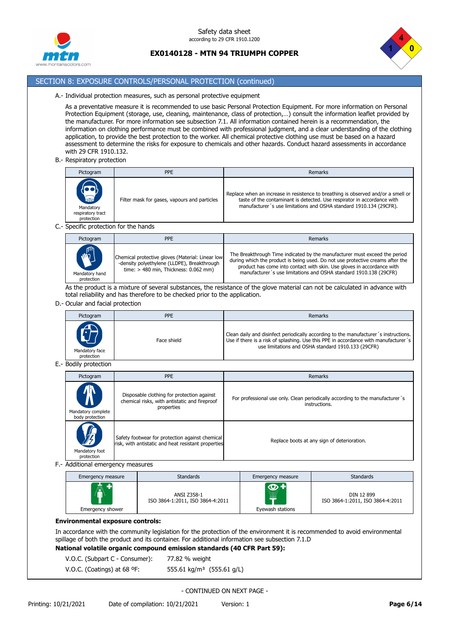



# SECTION 8: EXPOSURE CONTROLS/PERSONAL PROTECTION (continued)

#### A.- Individual protection measures, such as personal protective equipment

As a preventative measure it is recommended to use basic Personal Protection Equipment. For more information on Personal Protection Equipment (storage, use, cleaning, maintenance, class of protection,…) consult the information leaflet provided by the manufacturer. For more information see subsection 7.1. All information contained herein is a recommendation, the information on clothing performance must be combined with professional judgment, and a clear understanding of the clothing application, to provide the best protection to the worker. All chemical protective clothing use must be based on a hazard assessment to determine the risks for exposure to chemicals and other hazards. Conduct hazard assessments in accordance with 29 CFR 1910.132.

B.- Respiratory protection

| Pictogram                                                                                        | <b>PPE</b>                                   | Remarks                                                                                                                                                                                                                            |
|--------------------------------------------------------------------------------------------------|----------------------------------------------|------------------------------------------------------------------------------------------------------------------------------------------------------------------------------------------------------------------------------------|
| $\begin{pmatrix} 1 \\ 1 \\ 1 \\ 1 \end{pmatrix}$<br>Mandatory<br>respiratory tract<br>protection | Filter mask for gases, vapours and particles | Replace when an increase in resistence to breathing is observed and/or a smell or<br>taste of the contaminant is detected. Use respirator in accordance with<br>manufacturer's use limitations and OSHA standard 1910.134 (29CFR). |

#### C.- Specific protection for the hands

| Pictogram                                   | <b>PPE</b>                                                                                                                                 | Remarks                                                                                                                                                                                                                                                                                                     |
|---------------------------------------------|--------------------------------------------------------------------------------------------------------------------------------------------|-------------------------------------------------------------------------------------------------------------------------------------------------------------------------------------------------------------------------------------------------------------------------------------------------------------|
| <b>MARY</b><br>Mandatory hand<br>protection | Chemical protective gloves (Material: Linear low<br>-density polyethylene (LLDPE), Breakthrough<br>time: $>$ 480 min. Thickness: 0.062 mm) | The Breakthrough Time indicated by the manufacturer must exceed the period<br>during which the product is being used. Do not use protective creams after the<br>product has come into contact with skin. Use gloves in accordance with<br>manufacturer's use limitations and OSHA standard 1910.138 (29CFR) |

As the product is a mixture of several substances, the resistance of the glove material can not be calculated in advance with total reliability and has therefore to be checked prior to the application.

## D.- Ocular and facial protection

| Pictogram                    | <b>PPE</b>  | Remarks                                                                                                                                                                                                                           |
|------------------------------|-------------|-----------------------------------------------------------------------------------------------------------------------------------------------------------------------------------------------------------------------------------|
| Mandatory face<br>protection | Face shield | Clean daily and disinfect periodically according to the manufacturer's instructions.<br>Use if there is a risk of splashing. Use this PPE in accordance with manufacturer's<br>use limitations and OSHA standard 1910.133 (29CFR) |

# E.- Bodily protection

| Pictogram                                    | <b>PPE</b>                                                                                                | Remarks                                                                                        |
|----------------------------------------------|-----------------------------------------------------------------------------------------------------------|------------------------------------------------------------------------------------------------|
| Mandatory complete<br>body protection        | Disposable clothing for protection against<br>chemical risks, with antistatic and fireproof<br>properties | For professional use only. Clean periodically according to the manufacturer's<br>instructions. |
| $\sqrt{\pi}$<br>Mandatory foot<br>protection | Safety footwear for protection against chemical<br>risk, with antistatic and heat resistant properties    | Replace boots at any sign of deterioration.                                                    |

#### F.- Additional emergency measures

| Emergency measure | <b>Standards</b>                                | Emergency measure | <b>Standards</b>                               |
|-------------------|-------------------------------------------------|-------------------|------------------------------------------------|
| ⋒                 | ANSI Z358-1<br>ISO 3864-1:2011, ISO 3864-4:2011 | $\circ$ +<br>W    | DIN 12 899<br>ISO 3864-1:2011, ISO 3864-4:2011 |
| Emergency shower  |                                                 | Eyewash stations  |                                                |

### **Environmental exposure controls:**

In accordance with the community legislation for the protection of the environment it is recommended to avoid environmental spillage of both the product and its container. For additional information see subsection 7.1.D **National volatile organic compound emission standards (40 CFR Part 59):**

- V.O.C. (Subpart C Consumer): 77.82 % weight
- V.O.C. (Coatings) at 68 ºF: 555.61 kg/m³ (555.61 g/L)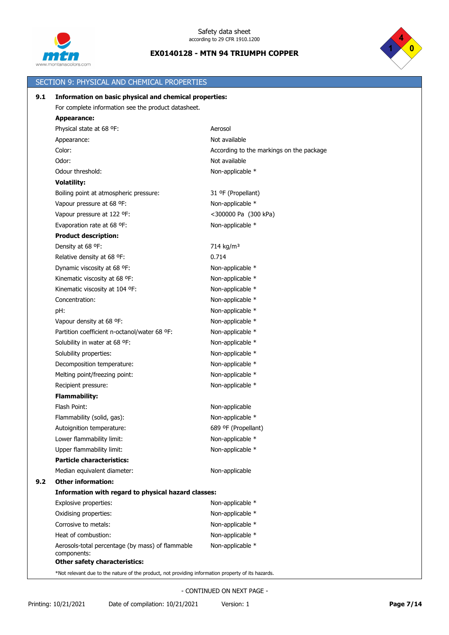



|     | SECTION 9: PHYSICAL AND CHEMICAL PROPERTIES                                                                                                |                                          |  |
|-----|--------------------------------------------------------------------------------------------------------------------------------------------|------------------------------------------|--|
| 9.1 | Information on basic physical and chemical properties:                                                                                     |                                          |  |
|     | For complete information see the product datasheet.                                                                                        |                                          |  |
|     | <b>Appearance:</b>                                                                                                                         |                                          |  |
|     | Physical state at 68 °F:                                                                                                                   | Aerosol                                  |  |
|     | Appearance:                                                                                                                                | Not available                            |  |
|     | Color:                                                                                                                                     | According to the markings on the package |  |
|     | Odor:                                                                                                                                      | Not available                            |  |
|     | Odour threshold:                                                                                                                           | Non-applicable *                         |  |
|     | <b>Volatility:</b>                                                                                                                         |                                          |  |
|     | Boiling point at atmospheric pressure:                                                                                                     | 31 ºF (Propellant)                       |  |
|     | Vapour pressure at 68 °F:                                                                                                                  | Non-applicable *                         |  |
|     | Vapour pressure at 122 °F:                                                                                                                 | <300000 Pa (300 kPa)                     |  |
|     | Evaporation rate at 68 °F:                                                                                                                 | Non-applicable *                         |  |
|     | <b>Product description:</b>                                                                                                                |                                          |  |
|     | Density at 68 °F:                                                                                                                          | 714 kg/m <sup>3</sup>                    |  |
|     | Relative density at 68 °F:                                                                                                                 | 0.714                                    |  |
|     | Dynamic viscosity at 68 °F:                                                                                                                | Non-applicable *                         |  |
|     | Kinematic viscosity at 68 °F:                                                                                                              | Non-applicable *                         |  |
|     | Kinematic viscosity at 104 °F:                                                                                                             | Non-applicable *                         |  |
|     | Concentration:                                                                                                                             | Non-applicable *                         |  |
|     | pH:                                                                                                                                        | Non-applicable *                         |  |
|     | Vapour density at 68 °F:                                                                                                                   | Non-applicable *                         |  |
|     | Partition coefficient n-octanol/water 68 ºF:                                                                                               | Non-applicable *                         |  |
|     | Solubility in water at 68 °F:                                                                                                              | Non-applicable *                         |  |
|     | Solubility properties:                                                                                                                     | Non-applicable *                         |  |
|     | Decomposition temperature:                                                                                                                 | Non-applicable *                         |  |
|     | Melting point/freezing point:                                                                                                              | Non-applicable *                         |  |
|     | Recipient pressure:                                                                                                                        | Non-applicable *                         |  |
|     | <b>Flammability:</b>                                                                                                                       |                                          |  |
|     | Flash Point:                                                                                                                               | Non-applicable                           |  |
|     | Flammability (solid, gas):                                                                                                                 | Non-applicable *                         |  |
|     | Autoignition temperature:                                                                                                                  | 689 ºF (Propellant)                      |  |
|     | Lower flammability limit:                                                                                                                  | Non-applicable *                         |  |
|     | Upper flammability limit:                                                                                                                  | Non-applicable *                         |  |
|     | <b>Particle characteristics:</b>                                                                                                           |                                          |  |
|     | Median equivalent diameter:                                                                                                                | Non-applicable                           |  |
| 9.2 | <b>Other information:</b>                                                                                                                  |                                          |  |
|     | Information with regard to physical hazard classes:                                                                                        |                                          |  |
|     | Explosive properties:                                                                                                                      | Non-applicable *                         |  |
|     | Oxidising properties:                                                                                                                      | Non-applicable *                         |  |
|     | Corrosive to metals:                                                                                                                       | Non-applicable *                         |  |
|     | Heat of combustion:                                                                                                                        | Non-applicable *                         |  |
|     | Aerosols-total percentage (by mass) of flammable<br>components:                                                                            | Non-applicable *                         |  |
|     | <b>Other safety characteristics:</b><br>*Not relevant due to the nature of the product, not providing information property of its hazards. |                                          |  |
|     |                                                                                                                                            |                                          |  |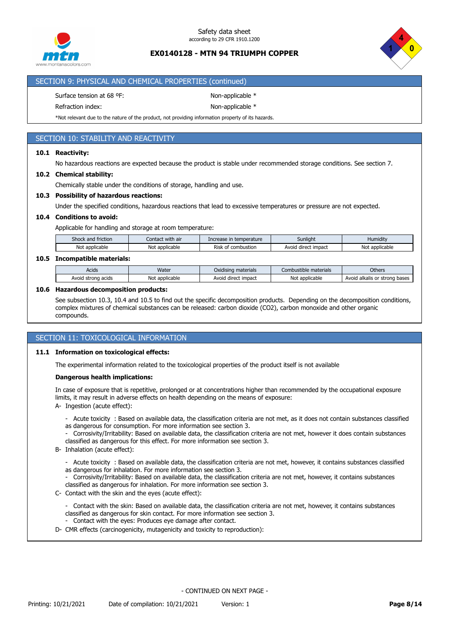



# SECTION 9: PHYSICAL AND CHEMICAL PROPERTIES (continued)

Surface tension at 68 °F: Non-applicable \*

Refraction index: Non-applicable \*

\*Not relevant due to the nature of the product, not providing information property of its hazards.

# SECTION 10: STABILITY AND REACTIVITY

## **10.1 Reactivity:**

No hazardous reactions are expected because the product is stable under recommended storage conditions. See section 7.

#### **10.2 Chemical stability:**

Chemically stable under the conditions of storage, handling and use.

#### **10.3 Possibility of hazardous reactions:**

Under the specified conditions, hazardous reactions that lead to excessive temperatures or pressure are not expected.

#### **10.4 Conditions to avoid:**

Applicable for handling and storage at room temperature:

| Shock and<br>$\sim$ $\sim$ $\sim$<br>friction | $\cdots$<br>Contact with air | Increase in temperature  | Sunlight               | $\cdots$<br>Humidity    |
|-----------------------------------------------|------------------------------|--------------------------|------------------------|-------------------------|
| Not<br>applicable <sup>.</sup>                | Not<br>: applicable          | Risk<br>combustion<br>Οt | direct impact<br>Avoig | <br>Not<br>: applicable |

#### **10.5 Incompatible materials:**

| Acids                      | Water               | $\cdots$<br>materials<br>Oxidisina | : materials<br>.ombust<br>tible | Others                                   |
|----------------------------|---------------------|------------------------------------|---------------------------------|------------------------------------------|
| Avoia<br>strona<br>ı acids | Not<br>: applicable | impact<br>Avoid direct             | * applicable *<br>No:           | Avoid<br>alkalis<br>bases<br>; or strona |

#### **10.6 Hazardous decomposition products:**

See subsection 10.3, 10.4 and 10.5 to find out the specific decomposition products. Depending on the decomposition conditions, complex mixtures of chemical substances can be released: carbon dioxide (CO2), carbon monoxide and other organic compounds.

## SECTION 11: TOXICOLOGICAL INFORMATION

#### **11.1 Information on toxicological effects:**

The experimental information related to the toxicological properties of the product itself is not available

#### **Dangerous health implications:**

In case of exposure that is repetitive, prolonged or at concentrations higher than recommended by the occupational exposure limits, it may result in adverse effects on health depending on the means of exposure:

- A- Ingestion (acute effect):
	- Acute toxicity : Based on available data, the classification criteria are not met, as it does not contain substances classified as dangerous for consumption. For more information see section 3.
	- Corrosivity/Irritability: Based on available data, the classification criteria are not met, however it does contain substances classified as dangerous for this effect. For more information see section 3.
- B- Inhalation (acute effect):
	- Acute toxicity : Based on available data, the classification criteria are not met, however, it contains substances classified as dangerous for inhalation. For more information see section 3.
	- Corrosivity/Irritability: Based on available data, the classification criteria are not met, however, it contains substances classified as dangerous for inhalation. For more information see section 3.
- C- Contact with the skin and the eyes (acute effect):
	- Contact with the skin: Based on available data, the classification criteria are not met, however, it contains substances classified as dangerous for skin contact. For more information see section 3.
	- Contact with the eyes: Produces eye damage after contact.
- D- CMR effects (carcinogenicity, mutagenicity and toxicity to reproduction):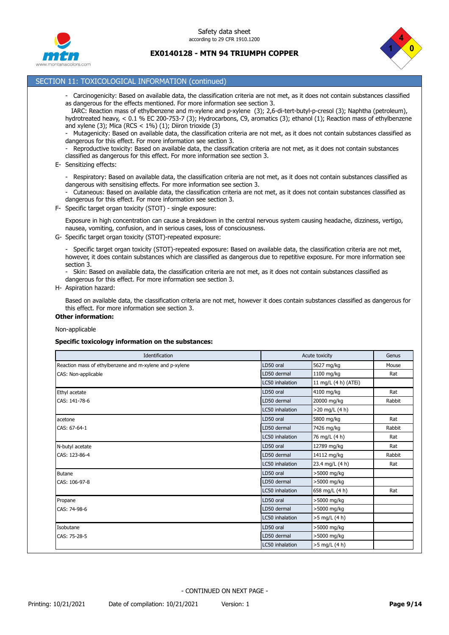



# SECTION 11: TOXICOLOGICAL INFORMATION (continued)

- Carcinogenicity: Based on available data, the classification criteria are not met, as it does not contain substances classified as dangerous for the effects mentioned. For more information see section 3.

 IARC: Reaction mass of ethylbenzene and m-xylene and p-xylene (3); 2,6-di-tert-butyl-p-cresol (3); Naphtha (petroleum), hydrotreated heavy, < 0.1 % EC 200-753-7 (3); Hydrocarbons, C9, aromatics (3); ethanol (1); Reaction mass of ethylbenzene and xylene (3); Mica (RCS <  $1\%$ ) (1); Diiron trioxide (3)

- Mutagenicity: Based on available data, the classification criteria are not met, as it does not contain substances classified as dangerous for this effect. For more information see section 3.

Reproductive toxicity: Based on available data, the classification criteria are not met, as it does not contain substances classified as dangerous for this effect. For more information see section 3.

E- Sensitizing effects:

- Respiratory: Based on available data, the classification criteria are not met, as it does not contain substances classified as dangerous with sensitising effects. For more information see section 3.

- Cutaneous: Based on available data, the classification criteria are not met, as it does not contain substances classified as dangerous for this effect. For more information see section 3.

F- Specific target organ toxicity (STOT) - single exposure:

Exposure in high concentration can cause a breakdown in the central nervous system causing headache, dizziness, vertigo, nausea, vomiting, confusion, and in serious cases, loss of consciousness.

G- Specific target organ toxicity (STOT)-repeated exposure:

- Specific target organ toxicity (STOT)-repeated exposure: Based on available data, the classification criteria are not met, however, it does contain substances which are classified as dangerous due to repetitive exposure. For more information see section 3.

- Skin: Based on available data, the classification criteria are not met, as it does not contain substances classified as dangerous for this effect. For more information see section 3.

H- Aspiration hazard:

Based on available data, the classification criteria are not met, however it does contain substances classified as dangerous for this effect. For more information see section 3.

**Other information:**

### Non-applicable

#### **Specific toxicology information on the substances:**

| Identification                                          |                 | Acute toxicity       |        |
|---------------------------------------------------------|-----------------|----------------------|--------|
| Reaction mass of ethylbenzene and m-xylene and p-xylene | LD50 oral       | 5627 mg/kg           | Mouse  |
| CAS: Non-applicable                                     | LD50 dermal     | 1100 mg/kg           | Rat    |
|                                                         | LC50 inhalation | 11 mg/L (4 h) (ATEi) |        |
| Ethyl acetate                                           | LD50 oral       | 4100 mg/kg           | Rat    |
| CAS: 141-78-6                                           | LD50 dermal     | 20000 mg/kg          | Rabbit |
|                                                         | LC50 inhalation | $>20$ mg/L (4 h)     |        |
| acetone                                                 | LD50 oral       | 5800 mg/kg           | Rat    |
| CAS: 67-64-1                                            | LD50 dermal     | 7426 mg/kg           | Rabbit |
|                                                         | LC50 inhalation | 76 mg/L (4 h)        | Rat    |
| N-butyl acetate                                         | LD50 oral       | 12789 mg/kg          | Rat    |
| CAS: 123-86-4                                           | LD50 dermal     | 14112 mg/kg          | Rabbit |
|                                                         | LC50 inhalation | 23.4 mg/L (4 h)      | Rat    |
| <b>Butane</b>                                           | LD50 oral       | >5000 mg/kg          |        |
| CAS: 106-97-8                                           | LD50 dermal     | >5000 mg/kg          |        |
|                                                         | LC50 inhalation | 658 mg/L (4 h)       | Rat    |
| Propane                                                 | LD50 oral       | >5000 mg/kg          |        |
| CAS: 74-98-6                                            | LD50 dermal     | >5000 mg/kg          |        |
|                                                         | LC50 inhalation | >5 mg/L (4 h)        |        |
| Isobutane                                               | LD50 oral       | >5000 mg/kg          |        |
| CAS: 75-28-5                                            | LD50 dermal     | >5000 mg/kg          |        |
|                                                         | LC50 inhalation | $>5$ mg/L (4 h)      |        |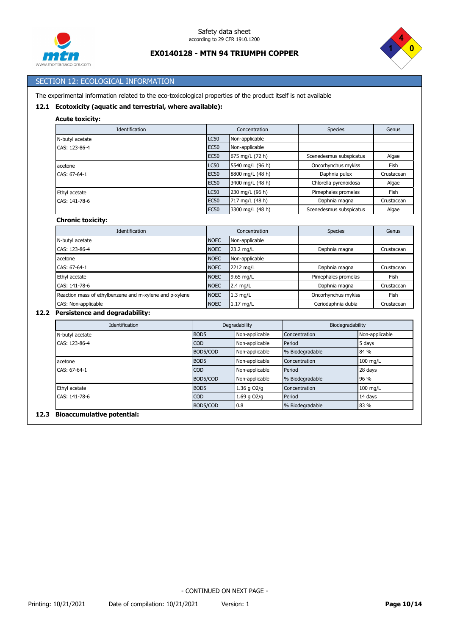



# SECTION 12: ECOLOGICAL INFORMATION

The experimental information related to the eco-toxicological properties of the product itself is not available

# **12.1 Ecotoxicity (aquatic and terrestrial, where available):**

| <b>Acute toxicity:</b> |
|------------------------|
|                        |

| Identification               |                        | Concentration    | <b>Species</b>          | Genus      |
|------------------------------|------------------------|------------------|-------------------------|------------|
| N-butyl acetate              | LC50<br>Non-applicable |                  |                         |            |
| <b>EC50</b><br>CAS: 123-86-4 |                        | Non-applicable   |                         |            |
|                              | <b>EC50</b>            | 675 mg/L (72 h)  | Scenedesmus subspicatus | Algae      |
| acetone                      | <b>LC50</b>            | 5540 mg/L (96 h) | Oncorhynchus mykiss     | Fish       |
| CAS: 67-64-1                 | <b>EC50</b>            | 8800 mg/L (48 h) | Daphnia pulex           | Crustacean |
|                              | <b>EC50</b>            | 3400 mg/L (48 h) | Chlorella pyrenoidosa   | Algae      |
| Ethyl acetate                |                        | 230 mg/L (96 h)  | Pimephales promelas     | Fish       |
| CAS: 141-78-6                | <b>EC50</b>            | 717 mg/L (48 h)  | Daphnia magna           | Crustacean |
|                              | <b>EC50</b>            | 3300 mg/L (48 h) | Scenedesmus subspicatus | Algae      |
| <b>Chronic toxicity:</b>     |                        |                  |                         |            |
| Identification               |                        | Concentration    | <b>Species</b>          | Genus      |
| N-butyl acetate              | <b>NOEC</b>            | Non-applicable   |                         |            |
| CAS: 123-86-4                | <b>NOEC</b>            | 23.2 mg/L        | Daphnia magna           | Crustacean |
| acetone                      | <b>NOEC</b>            | Non-applicable   |                         |            |
| CAS: 67-64-1                 | <b>NOEC</b>            | 2212 mg/L        | Daphnia magna           | Crustacean |
| Ethyl acetate                | <b>NOEC</b>            | 9.65 mg/L        | Pimephales promelas     | Fish       |

## **12.2 Persistence and degradability:**

| <b>Identification</b> | Degradability    |                 | Biodegradability |                |
|-----------------------|------------------|-----------------|------------------|----------------|
| N-butyl acetate       | BOD <sub>5</sub> | Non-applicable  | Concentration    | Non-applicable |
| CAS: 123-86-4         | <b>COD</b>       | Non-applicable  | Period           | 5 days         |
|                       | BOD5/COD         | Non-applicable  | % Biodegradable  | 84 %           |
| acetone               | BOD <sub>5</sub> | Non-applicable  | Concentration    | 100 mg/L       |
| CAS: 67-64-1          | CO <sub>D</sub>  | Non-applicable  | Period           | 28 days        |
|                       | BOD5/COD         | Non-applicable  | % Biodegradable  | 96 %           |
| Ethyl acetate         | BOD <sub>5</sub> | 1.36 g O2/g     | Concentration    | 100 mg/L       |
| CAS: 141-78-6         | <b>COD</b>       | $1.69$ q $O2/q$ | Period           | 14 days        |
|                       | BOD5/COD         | 0.8             | % Biodegradable  | 83 %           |

CAS: 141-78-6 NOEC 2.4 mg/L Daphnia magna Crustacean Reaction mass of ethylbenzene and m-xylene and p-xylene NOEC 1.3 mg/L Oncorhynchus mykiss Fish CAS: Non-applicable **NOEC** 1.17 mg/L Ceriodaphnia dubia Crustacean

#### **12.3 Bioaccumulative potential:**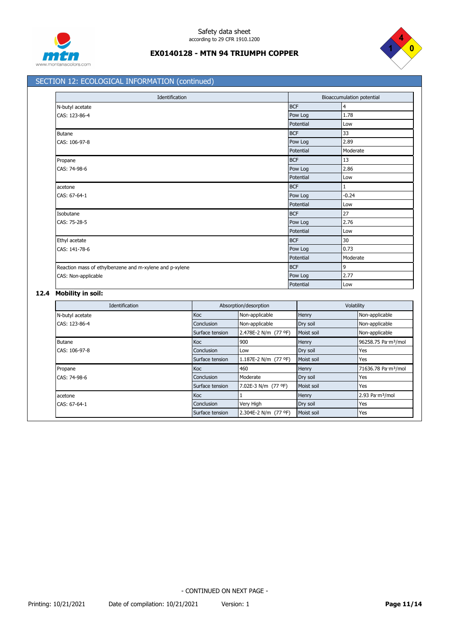



# SECTION 12: ECOLOGICAL INFORMATION (continued)

| Identification                                          |            | Bioaccumulation potential |  |  |
|---------------------------------------------------------|------------|---------------------------|--|--|
| N-butyl acetate                                         | <b>BCF</b> | $\overline{4}$            |  |  |
| CAS: 123-86-4                                           | Pow Log    | 1.78                      |  |  |
|                                                         | Potential  | Low                       |  |  |
| <b>Butane</b>                                           | <b>BCF</b> | 33                        |  |  |
| CAS: 106-97-8                                           | Pow Log    | 2.89                      |  |  |
|                                                         | Potential  | Moderate                  |  |  |
| Propane                                                 | <b>BCF</b> | 13                        |  |  |
| CAS: 74-98-6                                            | Pow Log    | 2.86                      |  |  |
|                                                         | Potential  | Low                       |  |  |
| acetone                                                 | <b>BCF</b> | $1\,$                     |  |  |
| CAS: 67-64-1                                            | Pow Log    | $-0.24$                   |  |  |
|                                                         | Potential  | Low                       |  |  |
| Isobutane                                               | <b>BCF</b> | 27                        |  |  |
| CAS: 75-28-5                                            | Pow Log    | 2.76                      |  |  |
|                                                         | Potential  | Low                       |  |  |
| Ethyl acetate                                           | <b>BCF</b> | 30                        |  |  |
| CAS: 141-78-6                                           | Pow Log    | 0.73                      |  |  |
|                                                         | Potential  | Moderate                  |  |  |
| Reaction mass of ethylbenzene and m-xylene and p-xylene | <b>BCF</b> | $\overline{9}$            |  |  |
| CAS: Non-applicable                                     | Pow Log    | 2.77                      |  |  |
|                                                         | Potential  | Low                       |  |  |

# **12.4 Mobility in soil:**

| Identification  |                 | Absorption/desorption |            | Volatility                      |  |
|-----------------|-----------------|-----------------------|------------|---------------------------------|--|
| N-butyl acetate | <b>Koc</b>      | Non-applicable        | Henry      | Non-applicable                  |  |
| CAS: 123-86-4   | Conclusion      | Non-applicable        | Dry soil   | Non-applicable                  |  |
|                 | Surface tension | 2.478E-2 N/m (77 °F)  | Moist soil | Non-applicable                  |  |
| <b>Butane</b>   | <b>Koc</b>      | 900                   | Henry      | 96258.75 Pa·m <sup>3</sup> /mol |  |
| CAS: 106-97-8   | Conclusion      | Low                   | Dry soil   | Yes                             |  |
|                 | Surface tension | 1.187E-2 N/m (77 °F)  | Moist soil | Yes                             |  |
| Propane         | <b>Koc</b>      | 460                   | Henry      | 71636.78 Pa·m <sup>3</sup> /mol |  |
| CAS: 74-98-6    | Conclusion      | Moderate              | Dry soil   | Yes                             |  |
|                 | Surface tension | 7.02E-3 N/m (77 °F)   | Moist soil | Yes                             |  |
| acetone         | <b>Koc</b>      |                       | Henry      | 2.93 Pa·m <sup>3</sup> /mol     |  |
| CAS: 67-64-1    | Conclusion      | Very High             | Dry soil   | Yes                             |  |
|                 | Surface tension | 2.304E-2 N/m (77 °F)  | Moist soil | Yes                             |  |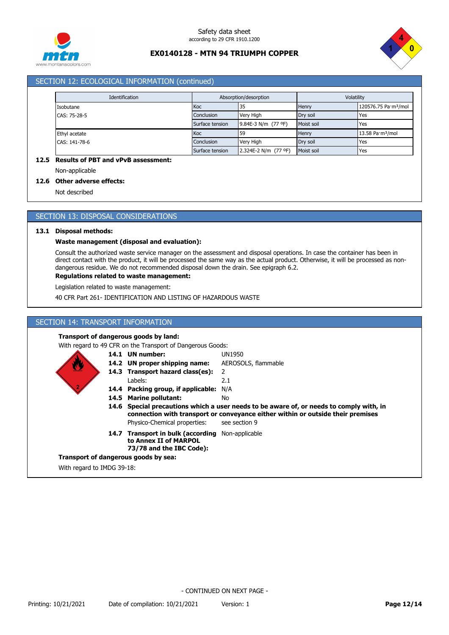



# SECTION 12: ECOLOGICAL INFORMATION (continued)

| Identification | Absorption/desorption |                      | Volatility |                                  |
|----------------|-----------------------|----------------------|------------|----------------------------------|
| Isobutane      | Koc                   | 35                   | Henry      | 120576.75 Pa·m <sup>3</sup> /mol |
| CAS: 75-28-5   | Conclusion            | Very High            | Dry soil   | Yes                              |
|                | Surface tension       | 9.84E-3 N/m (77 °F)  | Moist soil | Yes                              |
| Ethyl acetate  | Koc                   | 59                   | Henry      | 13.58 Pa·m <sup>3</sup> /mol     |
| CAS: 141-78-6  | Conclusion            | Very High            | Dry soil   | Yes                              |
|                | Surface tension       | 2.324E-2 N/m (77 °F) | Moist soil | Yes                              |

## **12.5 Results of PBT and vPvB assessment:**

Non-applicable

#### **12.6 Other adverse effects:**

Not described

## SECTION 13: DISPOSAL CONSIDERATIONS

#### **13.1 Disposal methods:**

### **Waste management (disposal and evaluation):**

Consult the authorized waste service manager on the assessment and disposal operations. In case the container has been in direct contact with the product, it will be processed the same way as the actual product. Otherwise, it will be processed as nondangerous residue. We do not recommended disposal down the drain. See epigraph 6.2.

### **Regulations related to waste management:**

Legislation related to waste management:

40 CFR Part 261- IDENTIFICATION AND LISTING OF HAZARDOUS WASTE

## SECTION 14: TRANSPORT INFORMATION

#### **Transport of dangerous goods by land:**

With regard to 49 CFR on the Transport of Dangerous Goods:

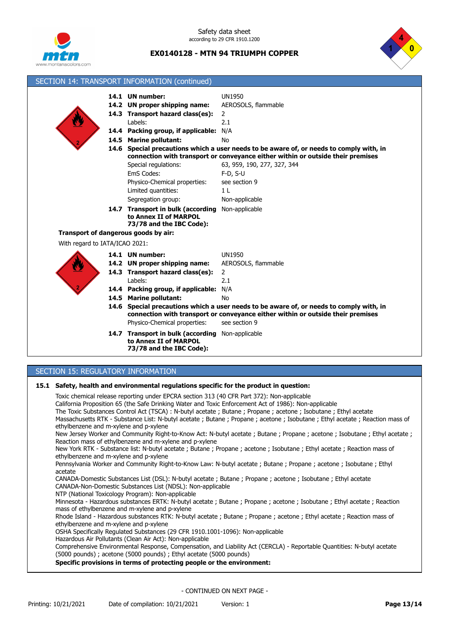

Safety data sheet according to 29 CFR 1910.1200

**EX0140128 - MTN 94 TRIUMPH COPPER**



|                                                                                                                                                                                                                                                                                                                                                                                                                      | SECTION 14: TRANSPORT INFORMATION (continued)                                                                                                      |                                                                                                                                                                                                                                                |  |  |
|----------------------------------------------------------------------------------------------------------------------------------------------------------------------------------------------------------------------------------------------------------------------------------------------------------------------------------------------------------------------------------------------------------------------|----------------------------------------------------------------------------------------------------------------------------------------------------|------------------------------------------------------------------------------------------------------------------------------------------------------------------------------------------------------------------------------------------------|--|--|
|                                                                                                                                                                                                                                                                                                                                                                                                                      | 14.1 UN number:<br>14.2 UN proper shipping name:<br>14.3 Transport hazard class(es):<br>Labels:<br>14.4 Packing group, if applicable: N/A          | <b>UN1950</b><br>AEROSOLS, flammable<br>2<br>2.1                                                                                                                                                                                               |  |  |
|                                                                                                                                                                                                                                                                                                                                                                                                                      | 14.5 Marine pollutant:<br>Special regulations:<br>EmS Codes:<br>Physico-Chemical properties:                                                       | Nο<br>14.6 Special precautions which a user needs to be aware of, or needs to comply with, in<br>connection with transport or conveyance either within or outside their premises<br>63, 959, 190, 277, 327, 344<br>$F-D, S-U$<br>see section 9 |  |  |
| Transport of dangerous goods by air:                                                                                                                                                                                                                                                                                                                                                                                 | Limited quantities:<br>Segregation group:<br>14.7 Transport in bulk (according Non-applicable<br>to Annex II of MARPOL<br>73/78 and the IBC Code): | 1 <sub>L</sub><br>Non-applicable                                                                                                                                                                                                               |  |  |
| With regard to IATA/ICAO 2021:                                                                                                                                                                                                                                                                                                                                                                                       |                                                                                                                                                    |                                                                                                                                                                                                                                                |  |  |
|                                                                                                                                                                                                                                                                                                                                                                                                                      | 14.1 UN number:<br>14.2 UN proper shipping name:<br>14.3 Transport hazard class(es):<br>Labels:<br>14.4 Packing group, if applicable:              | <b>UN1950</b><br>AEROSOLS, flammable<br>2<br>2.1<br>N/A                                                                                                                                                                                        |  |  |
|                                                                                                                                                                                                                                                                                                                                                                                                                      | 14.5 Marine pollutant:<br>Physico-Chemical properties:                                                                                             | No<br>14.6 Special precautions which a user needs to be aware of, or needs to comply with, in<br>connection with transport or conveyance either within or outside their premises<br>see section 9                                              |  |  |
|                                                                                                                                                                                                                                                                                                                                                                                                                      | 14.7 Transport in bulk (according Non-applicable<br>to Annex II of MARPOL<br>73/78 and the IBC Code):                                              |                                                                                                                                                                                                                                                |  |  |
| SECTION 15: REGULATORY INFORMATION                                                                                                                                                                                                                                                                                                                                                                                   |                                                                                                                                                    |                                                                                                                                                                                                                                                |  |  |
| 15.1 Safety, health and environmental regulations specific for the product in question:<br>Toxic chemical release reporting under EPCRA section 313 (40 CFR Part 372): Non-applicable<br>California Proposition 65 (the Safe Drinking Water and Toxic Enforcement Act of 1986): Non-applicable<br>The Toxic Substances Control Act (TSCA) : N-butyl acetate : Butane : Pronane : acetone : Isobutane : Ethyl acetate |                                                                                                                                                    |                                                                                                                                                                                                                                                |  |  |

The Toxic Substances Control Act (TSCA) : N-butyl acetate ; Butane ; Propane ; acetone ; Isobutane ; Ethyl ac Massachusetts RTK - Substance List: N-butyl acetate ; Butane ; Propane ; acetone ; Isobutane ; Ethyl acetate ; Reaction mass of ethylbenzene and m-xylene and p-xylene

New Jersey Worker and Community Right-to-Know Act: N-butyl acetate ; Butane ; Propane ; acetone ; Isobutane ; Ethyl acetate ; Reaction mass of ethylbenzene and m-xylene and p-xylene

New York RTK - Substance list: N-butyl acetate ; Butane ; Propane ; acetone ; Isobutane ; Ethyl acetate ; Reaction mass of ethylbenzene and m-xylene and p-xylene

Pennsylvania Worker and Community Right-to-Know Law: N-butyl acetate ; Butane ; Propane ; acetone ; Isobutane ; Ethyl acetate

CANADA-Domestic Substances List (DSL): N-butyl acetate ; Butane ; Propane ; acetone ; Isobutane ; Ethyl acetate CANADA-Non-Domestic Substances List (NDSL): Non-applicable

NTP (National Toxicology Program): Non-applicable

Minnesota - Hazardous substances ERTK: N-butyl acetate ; Butane ; Propane ; acetone ; Isobutane ; Ethyl acetate ; Reaction mass of ethylbenzene and m-xylene and p-xylene

Rhode Island - Hazardous substances RTK: N-butyl acetate ; Butane ; Propane ; acetone ; Ethyl acetate ; Reaction mass of ethylbenzene and m-xylene and p-xylene

OSHA Specifically Regulated Substances (29 CFR 1910.1001-1096): Non-applicable

Hazardous Air Pollutants (Clean Air Act): Non-applicable

Comprehensive Environmental Response, Compensation, and Liability Act (CERCLA) - Reportable Quantities: N-butyl acetate (5000 pounds) ; acetone (5000 pounds) ; Ethyl acetate (5000 pounds)

**Specific provisions in terms of protecting people or the environment:**